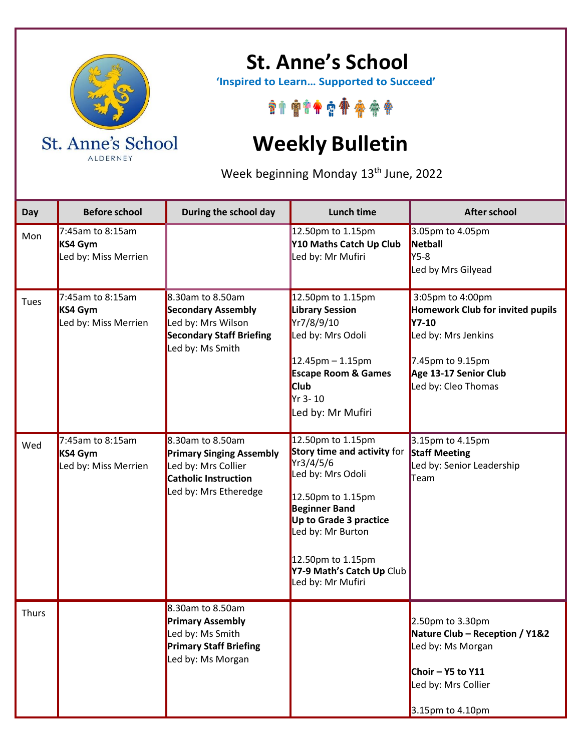

ALDERNEY

## **St. Anne's School**

 **'Inspired to Learn… Supported to Succeed'**

\*\*\*\*\*\*\*\*\*\*

## **Weekly Bulletin**

Week beginning Monday 13<sup>th</sup> June, 2022

| Day          | <b>Before school</b>                                   | During the school day                                                                                                       | <b>Lunch time</b>                                                                                                                                                                                                                                     | <b>After school</b>                                                                                                                                                    |
|--------------|--------------------------------------------------------|-----------------------------------------------------------------------------------------------------------------------------|-------------------------------------------------------------------------------------------------------------------------------------------------------------------------------------------------------------------------------------------------------|------------------------------------------------------------------------------------------------------------------------------------------------------------------------|
| Mon          | $7:45$ am to 8:15am<br>KS4 Gym<br>Led by: Miss Merrien |                                                                                                                             | 12.50pm to 1.15pm<br>Y10 Maths Catch Up Club<br>Led by: Mr Mufiri                                                                                                                                                                                     | 3.05pm to 4.05pm<br>Netball<br><b>Y5-8</b><br>Led by Mrs Gilyead                                                                                                       |
| Tues         | 7:45am to 8:15am<br>KS4 Gym<br>Led by: Miss Merrien    | 8.30am to 8.50am<br><b>Secondary Assembly</b><br>Led by: Mrs Wilson<br><b>Secondary Staff Briefing</b><br>Led by: Ms Smith  | 12.50pm to 1.15pm<br><b>Library Session</b><br>Yr7/8/9/10<br>Led by: Mrs Odoli<br>$12.45$ pm – 1.15pm<br><b>Escape Room &amp; Games</b><br><b>Club</b><br>Yr 3-10<br>Led by: Mr Mufiri                                                                | 3:05pm to 4:00pm<br><b>Homework Club for invited pupils</b><br><b>Y7-10</b><br>Led by: Mrs Jenkins<br>7.45pm to 9.15pm<br>Age 13-17 Senior Club<br>Led by: Cleo Thomas |
| Wed          | 7:45am to 8:15am<br>KS4 Gym<br>Led by: Miss Merrien    | 8.30am to 8.50am<br><b>Primary Singing Assembly</b><br>Led by: Mrs Collier<br>Catholic Instruction<br>Led by: Mrs Etheredge | 12.50pm to 1.15pm<br>Story time and activity for<br>Yr3/4/5/6<br>Led by: Mrs Odoli<br>12.50pm to 1.15pm<br><b>Beginner Band</b><br>Up to Grade 3 practice<br>Led by: Mr Burton<br>12.50pm to 1.15pm<br>Y7-9 Math's Catch Up Club<br>Led by: Mr Mufiri | 3.15pm to 4.15pm<br><b>Staff Meeting</b><br>Led by: Senior Leadership<br>Team                                                                                          |
| <b>Thurs</b> |                                                        | 8.30am to 8.50am<br><b>Primary Assembly</b><br>Led by: Ms Smith<br><b>Primary Staff Briefing</b><br>Led by: Ms Morgan       |                                                                                                                                                                                                                                                       | 2.50pm to 3.30pm<br>Nature Club - Reception / Y1&2<br>Led by: Ms Morgan<br>Choir $-$ Y5 to Y11<br>Led by: Mrs Collier<br>3.15pm to 4.10pm                              |